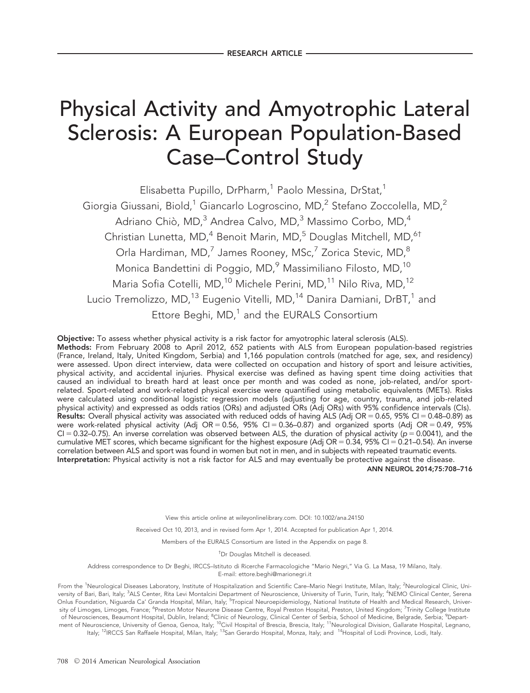# Physical Activity and Amyotrophic Lateral Sclerosis: A European Population-Based Case–Control Study

Elisabetta Pupillo, DrPharm,<sup>1</sup> Paolo Messina, DrStat,<sup>1</sup> Giorgia Giussani, Biold,<sup>1</sup> Giancarlo Logroscino, MD,<sup>2</sup> Stefano Zoccolella, MD,<sup>2</sup> Adriano Chiò, MD, $^3$  Andrea Calvo, MD, $^3$  Massimo Corbo, MD, $^4$ Christian Lunetta, MD, $4$  Benoit Marin, MD, $5$  Douglas Mitchell, MD, $6$ <sup>†</sup> Orla Hardiman, MD,<sup>7</sup> James Rooney, MSc,<sup>7</sup> Zorica Stevic, MD,<sup>8</sup> Monica Bandettini di Poggio, MD,<sup>9</sup> Massimiliano Filosto, MD,<sup>10</sup> Maria Sofia Cotelli, MD,<sup>10</sup> Michele Perini, MD,<sup>11</sup> Nilo Riva, MD,<sup>12</sup> Lucio Tremolizzo, MD,<sup>13</sup> Eugenio Vitelli, MD,<sup>14</sup> Danira Damiani, DrBT,<sup>1</sup> and Ettore Beghi,  $MD<sub>1</sub><sup>1</sup>$  and the EURALS Consortium

Objective: To assess whether physical activity is a risk factor for amyotrophic lateral sclerosis (ALS). Methods: From February 2008 to April 2012, 652 patients with ALS from European population-based registries (France, Ireland, Italy, United Kingdom, Serbia) and 1,166 population controls (matched for age, sex, and residency) were assessed. Upon direct interview, data were collected on occupation and history of sport and leisure activities, physical activity, and accidental injuries. Physical exercise was defined as having spent time doing activities that caused an individual to breath hard at least once per month and was coded as none, job-related, and/or sportrelated. Sport-related and work-related physical exercise were quantified using metabolic equivalents (METs). Risks were calculated using conditional logistic regression models (adjusting for age, country, trauma, and job-related physical activity) and expressed as odds ratios (ORs) and adjusted ORs (Adj ORs) with 95% confidence intervals (CIs). Results: Overall physical activity was associated with reduced odds of having ALS (Adj OR = 0.65, 95% CI = 0.48–0.89) as were work-related physical activity (Adj OR = 0.56, 95% CI = 0.36–0.87) and organized sports (Adj OR = 0.49, 95% CI = 0.32–0.75). An inverse correlation was observed between ALS, the duration of physical activity (p = 0.0041), and the cumulative MET scores, which became significant for the highest exposure (Adj OR =  $0.34$ , 95% CI =  $0.21$ –0.54). An inverse correlation between ALS and sport was found in women but not in men, and in subjects with repeated traumatic events. Interpretation: Physical activity is not a risk factor for ALS and may eventually be protective against the disease.

ANN NEUROL 2014;75:708–716

View this article online at wileyonlinelibrary.com. DOI: 10.1002/ana.24150 Received Oct 10, 2013, and in revised form Apr 1, 2014. Accepted for publication Apr 1, 2014.

Members of the EURALS Consortium are listed in the Appendix on page 8.

† Dr Douglas Mitchell is deceased.

Address correspondence to Dr Beghi, IRCCS–Istituto di Ricerche Farmacologiche "Mario Negri," Via G. La Masa, 19 Milano, Italy. E-mail: ettore.beghi@marionegri.it

From the <sup>1</sup>Neurological Diseases Laboratory, Institute of Hospitalization and Scientific Care–Mario Negri Institute, Milan, Italy; <sup>2</sup>Neurological Clinic, University of Bari, Bari, Italy; <sup>3</sup>ALS Center, Rita Levi Montalcini Department of Neuroscience, University of Turin, Turin, Italy; <sup>4</sup>NEMO Clinical Center, Serena Onlus Foundation, Niguarda Ca' Granda Hospital, Milan, Italy; <sup>5</sup>Tropical Neuroepidemiology, National Institute of Health and Medical Research, University of Limoges, Limoges, France; <sup>6</sup>Preston Motor Neurone Disease Centre, Royal Preston Hospital, Preston, United Kingdom; <sup>7</sup>Trinity College Institute of Neurosciences, Beaumont Hospital, Dublin, Ireland; <sup>8</sup>Clinic of Neurology, Clinical Center of Serbia, School of Medicine, Belgrade, Serbia; <sup>9</sup>Department of Neuroscience, University of Genoa, Genoa, Italy; <sup>10</sup>Civil Hospital of Brescia, Brescia, Italy; <sup>11</sup>Neurological Division, Gallarate Hospital, Legnano, Italy; <sup>12</sup>IRCCS San Raffaele Hospital, Milan, Italy; <sup>13</sup>San Gerardo Hospital, Monza, Italy; and <sup>14</sup>Hospital of Lodi Province, Lodi, Italy.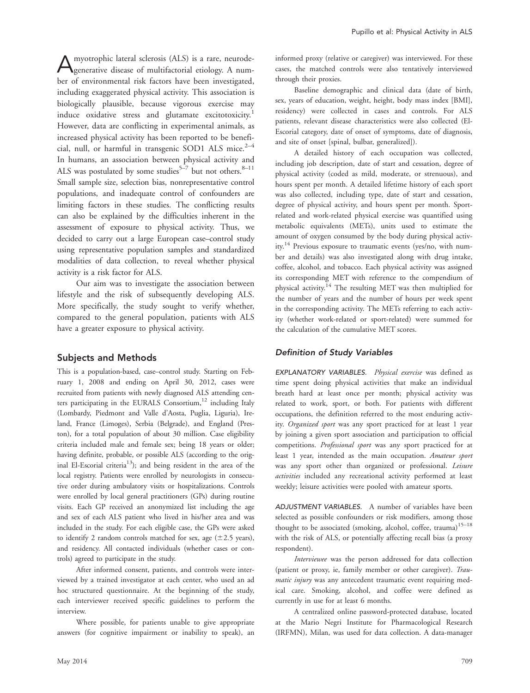Amyotrophic lateral sclerosis (ALS) is a rare, neurode-generative disease of multifactorial etiology. A number of environmental risk factors have been investigated, including exaggerated physical activity. This association is biologically plausible, because vigorous exercise may induce oxidative stress and glutamate excitotoxicity.<sup>1</sup> However, data are conflicting in experimental animals, as increased physical activity has been reported to be beneficial, null, or harmful in transgenic SOD1 ALS mice. $2-4$ In humans, an association between physical activity and ALS was postulated by some studies<sup>5-7</sup> but not others.<sup>8-11</sup> Small sample size, selection bias, nonrepresentative control populations, and inadequate control of confounders are limiting factors in these studies. The conflicting results can also be explained by the difficulties inherent in the assessment of exposure to physical activity. Thus, we decided to carry out a large European case–control study using representative population samples and standardized modalities of data collection, to reveal whether physical activity is a risk factor for ALS.

Our aim was to investigate the association between lifestyle and the risk of subsequently developing ALS. More specifically, the study sought to verify whether, compared to the general population, patients with ALS have a greater exposure to physical activity.

#### Subjects and Methods

This is a population-based, case–control study. Starting on February 1, 2008 and ending on April 30, 2012, cases were recruited from patients with newly diagnosed ALS attending centers participating in the EURALS Consortium,<sup>12</sup> including Italy (Lombardy, Piedmont and Valle d'Aosta, Puglia, Liguria), Ireland, France (Limoges), Serbia (Belgrade), and England (Preston), for a total population of about 30 million. Case eligibility criteria included male and female sex; being 18 years or older; having definite, probable, or possible ALS (according to the original El-Escorial criteria<sup>13</sup>); and being resident in the area of the local registry. Patients were enrolled by neurologists in consecutive order during ambulatory visits or hospitalizations. Controls were enrolled by local general practitioners (GPs) during routine visits. Each GP received an anonymized list including the age and sex of each ALS patient who lived in his/her area and was included in the study. For each eligible case, the GPs were asked to identify 2 random controls matched for sex, age  $(\pm 2.5 \text{ years})$ , and residency. All contacted individuals (whether cases or controls) agreed to participate in the study.

After informed consent, patients, and controls were interviewed by a trained investigator at each center, who used an ad hoc structured questionnaire. At the beginning of the study, each interviewer received specific guidelines to perform the interview.

Where possible, for patients unable to give appropriate answers (for cognitive impairment or inability to speak), an informed proxy (relative or caregiver) was interviewed. For these cases, the matched controls were also tentatively interviewed through their proxies.

Baseline demographic and clinical data (date of birth, sex, years of education, weight, height, body mass index [BMI], residency) were collected in cases and controls. For ALS patients, relevant disease characteristics were also collected (El-Escorial category, date of onset of symptoms, date of diagnosis, and site of onset [spinal, bulbar, generalized]).

A detailed history of each occupation was collected, including job description, date of start and cessation, degree of physical activity (coded as mild, moderate, or strenuous), and hours spent per month. A detailed lifetime history of each sport was also collected, including type, date of start and cessation, degree of physical activity, and hours spent per month. Sportrelated and work-related physical exercise was quantified using metabolic equivalents (METs), units used to estimate the amount of oxygen consumed by the body during physical activity.14 Previous exposure to traumatic events (yes/no, with number and details) was also investigated along with drug intake, coffee, alcohol, and tobacco. Each physical activity was assigned its corresponding MET with reference to the compendium of physical activity.14 The resulting MET was then multiplied for the number of years and the number of hours per week spent in the corresponding activity. The METs referring to each activity (whether work-related or sport-related) were summed for the calculation of the cumulative MET scores.

#### Definition of Study Variables

EXPLANATORY VARIABLES. Physical exercise was defined as time spent doing physical activities that make an individual breath hard at least once per month; physical activity was related to work, sport, or both. For patients with different occupations, the definition referred to the most enduring activity. Organized sport was any sport practiced for at least 1 year by joining a given sport association and participation to official competitions. Professional sport was any sport practiced for at least 1 year, intended as the main occupation. Amateur sport was any sport other than organized or professional. Leisure activities included any recreational activity performed at least weekly; leisure activities were pooled with amateur sports.

ADJUSTMENT VARIABLES. A number of variables have been selected as possible confounders or risk modifiers, among those thought to be associated (smoking, alcohol, coffee, trauma)<sup>15-18</sup> with the risk of ALS, or potentially affecting recall bias (a proxy respondent).

Interviewee was the person addressed for data collection (patient or proxy, ie, family member or other caregiver). Traumatic injury was any antecedent traumatic event requiring medical care. Smoking, alcohol, and coffee were defined as currently in use for at least 6 months.

A centralized online password-protected database, located at the Mario Negri Institute for Pharmacological Research (IRFMN), Milan, was used for data collection. A data-manager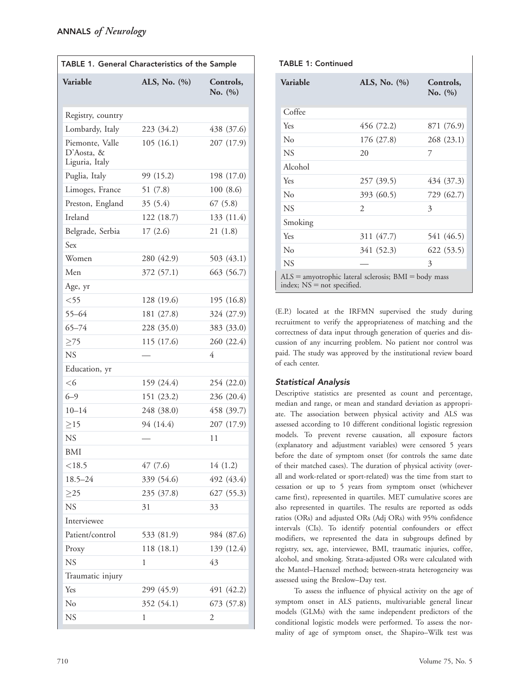| TABLE 1. General Characteristics of the Sample  |              |                          |  |  |  |
|-------------------------------------------------|--------------|--------------------------|--|--|--|
| Variable                                        | ALS, No. (%) | Controls,<br>No. $(\% )$ |  |  |  |
| Registry, country                               |              |                          |  |  |  |
| Lombardy, Italy                                 | 223 (34.2)   | 438 (37.6)               |  |  |  |
| Piemonte, Valle<br>D'Aosta, &<br>Liguria, Italy | 105(16.1)    | 207 (17.9)               |  |  |  |
| Puglia, Italy                                   | 99(15.2)     | 198 (17.0)               |  |  |  |
| Limoges, France                                 | 51(7.8)      | 100(8.6)                 |  |  |  |
| Preston, England                                | 35(5.4)      | 67(5.8)                  |  |  |  |
| Ireland                                         | 122 (18.7)   | 133(11.4)                |  |  |  |
| Belgrade, Serbia                                | 17(2.6)      | 21(1.8)                  |  |  |  |
| Sex                                             |              |                          |  |  |  |
| Women                                           | 280 (42.9)   | 503 (43.1)               |  |  |  |
| Men                                             | 372 (57.1)   | 663 (56.7)               |  |  |  |
| Age, yr                                         |              |                          |  |  |  |
| $<$ 55                                          | 128 (19.6)   | 195(16.8)                |  |  |  |
| 55-64                                           | 181 (27.8)   | 324 (27.9)               |  |  |  |
| $65 - 74$                                       | 228 (35.0)   | 383 (33.0)               |  |  |  |
| $\geq$ 75                                       | 115 (17.6)   | 260 (22.4)               |  |  |  |
| <b>NS</b>                                       |              | 4                        |  |  |  |
| Education, yr                                   |              |                          |  |  |  |
| $<$ 6                                           | 159 (24.4)   | 254 (22.0)               |  |  |  |
| $6 - 9$                                         | 151 (23.2)   | 236 (20.4)               |  |  |  |
| $10 - 14$                                       | 248 (38.0)   | 458 (39.7)               |  |  |  |
| >15                                             | 94 (14.4)    | 207 (17.9)               |  |  |  |
| <b>NS</b>                                       |              | 11                       |  |  |  |
| BMI                                             |              |                          |  |  |  |
| < 18.5                                          | 47(7.6)      | 14(1.2)                  |  |  |  |
| $18.5 - 24$                                     | 339 (54.6)   | 492 (43.4)               |  |  |  |
| $\geq$ 25                                       | 235 (37.8)   | 627 (55.3)               |  |  |  |
| <b>NS</b>                                       | 31           | 33                       |  |  |  |
| Interviewee                                     |              |                          |  |  |  |
| Patient/control                                 | 533 (81.9)   | 984 (87.6)               |  |  |  |
| Proxy                                           | 118(18.1)    | 139 (12.4)               |  |  |  |
| <b>NS</b>                                       | 1            | 43                       |  |  |  |
| Traumatic injury                                |              |                          |  |  |  |
| Yes                                             | 299 (45.9)   | 491 (42.2)               |  |  |  |
| No                                              | 352 (54.1)   | 673 (57.8)               |  |  |  |
| <b>NS</b>                                       | 1            | 2                        |  |  |  |

#### TABLE 1: Continued

| Variable                                                                                  | ALS, No. $(\% )$ | Controls,<br>No. (%) |  |  |  |
|-------------------------------------------------------------------------------------------|------------------|----------------------|--|--|--|
| Coffee                                                                                    |                  |                      |  |  |  |
| Yes                                                                                       | 456 (72.2)       | 871 (76.9)           |  |  |  |
| $\rm No$                                                                                  | 176 (27.8)       | 268 (23.1)           |  |  |  |
| <b>NS</b>                                                                                 | 20               | 7                    |  |  |  |
| Alcohol                                                                                   |                  |                      |  |  |  |
| Yes                                                                                       | 257 (39.5)       | 434 (37.3)           |  |  |  |
| $\rm No$                                                                                  | 393 (60.5)       | 729 (62.7)           |  |  |  |
| <b>NS</b>                                                                                 | 2                | 3                    |  |  |  |
| Smoking                                                                                   |                  |                      |  |  |  |
| Yes                                                                                       | 311 (47.7)       | 541 (46.5)           |  |  |  |
| $\rm N_{0}$                                                                               | 341 (52.3)       | 622 (53.5)           |  |  |  |
| <b>NS</b>                                                                                 |                  | 3                    |  |  |  |
| $ALS =$ amyotrophic lateral sclerosis; $BMI =$ body mass<br>index; $NS = not specified$ . |                  |                      |  |  |  |

(E.P.) located at the IRFMN supervised the study during recruitment to verify the appropriateness of matching and the correctness of data input through generation of queries and discussion of any incurring problem. No patient nor control was paid. The study was approved by the institutional review board of each center.

#### Statistical Analysis

Descriptive statistics are presented as count and percentage, median and range, or mean and standard deviation as appropriate. The association between physical activity and ALS was assessed according to 10 different conditional logistic regression models. To prevent reverse causation, all exposure factors (explanatory and adjustment variables) were censored 5 years before the date of symptom onset (for controls the same date of their matched cases). The duration of physical activity (overall and work-related or sport-related) was the time from start to cessation or up to 5 years from symptom onset (whichever came first), represented in quartiles. MET cumulative scores are also represented in quartiles. The results are reported as odds ratios (ORs) and adjusted ORs (Adj ORs) with 95% confidence intervals (CIs). To identify potential confounders or effect modifiers, we represented the data in subgroups defined by registry, sex, age, interviewee, BMI, traumatic injuries, coffee, alcohol, and smoking. Strata-adjusted ORs were calculated with the Mantel–Haenszel method; between-strata heterogeneity was assessed using the Breslow–Day test.

To assess the influence of physical activity on the age of symptom onset in ALS patients, multivariable general linear models (GLMs) with the same independent predictors of the conditional logistic models were performed. To assess the normality of age of symptom onset, the Shapiro–Wilk test was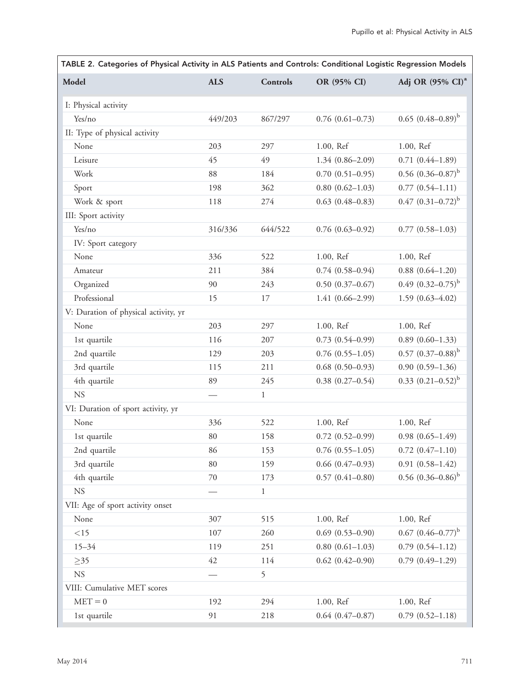| TABLE 2. Categories of Physical Activity in ALS Patients and Controls: Conditional Logistic Regression Models |            |              |                        |                              |  |
|---------------------------------------------------------------------------------------------------------------|------------|--------------|------------------------|------------------------------|--|
| Model                                                                                                         | <b>ALS</b> | Controls     | OR (95% CI)            | Adj OR $(95\% \text{ CI})^a$ |  |
| I: Physical activity                                                                                          |            |              |                        |                              |  |
| Yes/no                                                                                                        | 449/203    | 867/297      | $0.76(0.61 - 0.73)$    | $0.65$ $(0.48-0.89)^{b}$     |  |
| II: Type of physical activity                                                                                 |            |              |                        |                              |  |
| None                                                                                                          | 203        | 297          | 1.00, Ref              | 1.00, Ref                    |  |
| Leisure                                                                                                       | 45         | 49           | $1.34(0.86 - 2.09)$    | $0.71(0.44 - 1.89)$          |  |
| Work                                                                                                          | 88         | 184          | $0.70(0.51-0.95)$      | $0.56$ $(0.36 - 0.87)^{b}$   |  |
| Sport                                                                                                         | 198        | 362          | $0.80(0.62 - 1.03)$    | $0.77(0.54 - 1.11)$          |  |
| Work & sport                                                                                                  | 118        | 274          | $0.63$ $(0.48 - 0.83)$ | $0.47$ $(0.31 - 0.72)^{b}$   |  |
| III: Sport activity                                                                                           |            |              |                        |                              |  |
| Yes/no                                                                                                        | 316/336    | 644/522      | $0.76$ $(0.63 - 0.92)$ | $0.77(0.58-1.03)$            |  |
| IV: Sport category                                                                                            |            |              |                        |                              |  |
| None                                                                                                          | 336        | 522          | 1.00, Ref              | 1.00, Ref                    |  |
| Amateur                                                                                                       | 211        | 384          | $0.74(0.58 - 0.94)$    | $0.88$ $(0.64 - 1.20)$       |  |
| Organized                                                                                                     | 90         | 243          | $0.50$ $(0.37-0.67)$   | 0.49 $(0.32 - 0.75)^{b}$     |  |
| Professional                                                                                                  | 15         | 17           | $1.41(0.66 - 2.99)$    | $1.59(0.63 - 4.02)$          |  |
| V: Duration of physical activity, yr                                                                          |            |              |                        |                              |  |
| None                                                                                                          | 203        | 297          | 1.00, Ref              | 1.00, Ref                    |  |
| 1st quartile                                                                                                  | 116        | 207          | $0.73(0.54 - 0.99)$    | $0.89(0.60 - 1.33)$          |  |
| 2nd quartile                                                                                                  | 129        | 203          | $0.76(0.55-1.05)$      | $0.57 (0.37 - 0.88)^{b}$     |  |
| 3rd quartile                                                                                                  | 115        | 211          | $0.68(0.50-0.93)$      | $0.90(0.59-1.36)$            |  |
| 4th quartile                                                                                                  | 89         | 245          | $0.38$ $(0.27-0.54)$   | $0.33$ $(0.21-0.52)^{b}$     |  |
| <b>NS</b>                                                                                                     |            | $\mathbf{1}$ |                        |                              |  |
| VI: Duration of sport activity, yr                                                                            |            |              |                        |                              |  |
| None                                                                                                          | 336        | 522          | 1.00, Ref              | 1.00, Ref                    |  |
| 1st quartile                                                                                                  | 80         | 158          | $0.72(0.52 - 0.99)$    | $0.98(0.65 - 1.49)$          |  |
| 2nd quartile                                                                                                  | 86         | 153          | $0.76(0.55-1.05)$      | $0.72(0.47-1.10)$            |  |
| 3rd quartile                                                                                                  | 80         | 159          | $0.66$ $(0.47-0.93)$   | $0.91(0.58 - 1.42)$          |  |
| 4th quartile                                                                                                  | 70         | 173          | $0.57(0.41 - 0.80)$    | $0.56$ $(0.36 - 0.86)^{b}$   |  |
| NS                                                                                                            |            | $\mathbf{1}$ |                        |                              |  |
| VII: Age of sport activity onset                                                                              |            |              |                        |                              |  |
| None                                                                                                          | 307        | 515          | 1.00, Ref              | 1.00, Ref                    |  |
| <15                                                                                                           | 107        | 260          | $0.69$ $(0.53 - 0.90)$ | $0.67$ $(0.46-0.77)^{b}$     |  |
| $15 - 34$                                                                                                     | 119        | 251          | $0.80(0.61-1.03)$      | $0.79(0.54 - 1.12)$          |  |
| $\geq$ 35                                                                                                     | 42         | 114          | $0.62$ $(0.42 - 0.90)$ | $0.79(0.49-1.29)$            |  |
| NS                                                                                                            |            | 5            |                        |                              |  |
| VIII: Cumulative MET scores                                                                                   |            |              |                        |                              |  |
| $MET = 0$                                                                                                     | 192        | 294          | 1.00, Ref              | 1.00, Ref                    |  |
| 1st quartile                                                                                                  | 91         | 218          | $0.64$ $(0.47 - 0.87)$ | $0.79(0.52 - 1.18)$          |  |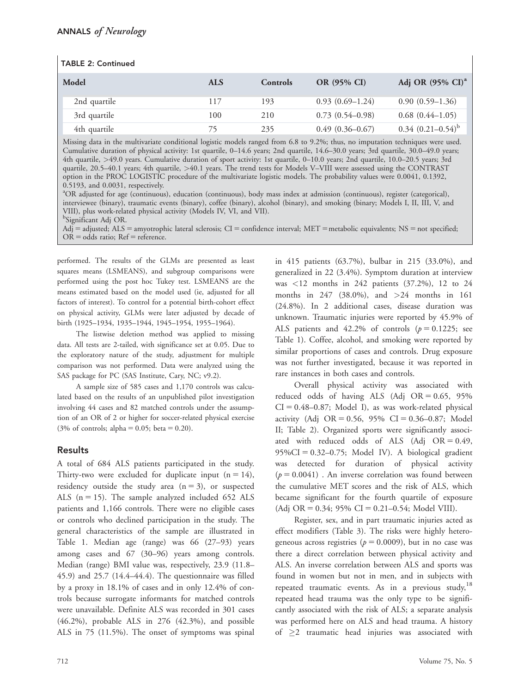#### TABLE 2: Continued

| Model        | <b>ALS</b> | <b>Controls</b> | <b>OR</b> (95% CI)  | Adj OR $(95\% \text{ CI})^a$ |
|--------------|------------|-----------------|---------------------|------------------------------|
| 2nd quartile | 117        | 193             | $0.93(0.69-1.24)$   | $0.90(0.59-1.36)$            |
| 3rd quartile | 100        | 210             | $0.73(0.54 - 0.98)$ | $0.68(0.44-1.05)$            |
| 4th quartile | 75         | 235             | $0.49(0.36 - 0.67)$ | $0.34~(0.21-0.54)^{b}$       |

Missing data in the multivariate conditional logistic models ranged from 6.8 to 9.2%; thus, no imputation techniques were used. Cumulative duration of physical activity: 1st quartile, 0–14.6 years; 2nd quartile, 14.6–30.0 years; 3rd quartile, 30.0–49.0 years; 4th quartile, >49.0 years. Cumulative duration of sport activity: 1st quartile, 0–10.0 years; 2nd quartile, 10.0–20.5 years; 3rd quartile, 20.5–40.1 years; 4th quartile, >40.1 years. The trend tests for Models V–VIII were assessed using the CONTRAST option in the PROC LOGISTIC procedure of the multivariate logistic models. The probability values were 0.0041, 0.1392, 0.5193, and 0.0031, respectively.

a OR adjusted for age (continuous), education (continuous), body mass index at admission (continuous), register (categorical), interviewee (binary), traumatic events (binary), coffee (binary), alcohol (binary), and smoking (binary; Models I, II, III, V, and VIII), plus work-related physical activity (Models IV, VI, and VII).

b Significant Adj OR.

Adj = adjusted; ALS = amyotrophic lateral sclerosis; CI = confidence interval; MET = metabolic equivalents; NS = not specified;  $OR = odds ratio; Ref = reference.$ 

performed. The results of the GLMs are presented as least squares means (LSMEANS), and subgroup comparisons were performed using the post hoc Tukey test. LSMEANS are the means estimated based on the model used (ie, adjusted for all factors of interest). To control for a potential birth-cohort effect on physical activity, GLMs were later adjusted by decade of birth (1925–1934, 1935–1944, 1945–1954, 1955–1964).

The listwise deletion method was applied to missing data. All tests are 2-tailed, with significance set at 0.05. Due to the exploratory nature of the study, adjustment for multiple comparison was not performed. Data were analyzed using the SAS package for PC (SAS Institute, Cary, NC; v9.2).

A sample size of 585 cases and 1,170 controls was calculated based on the results of an unpublished pilot investigation involving 44 cases and 82 matched controls under the assumption of an OR of 2 or higher for soccer-related physical exercise (3% of controls; alpha =  $0.05$ ; beta =  $0.20$ ).

#### Results

A total of 684 ALS patients participated in the study. Thirty-two were excluded for duplicate input  $(n = 14)$ , residency outside the study area  $(n = 3)$ , or suspected ALS ( $n = 15$ ). The sample analyzed included 652 ALS patients and 1,166 controls. There were no eligible cases or controls who declined participation in the study. The general characteristics of the sample are illustrated in Table 1. Median age (range) was 66 (27–93) years among cases and 67 (30–96) years among controls. Median (range) BMI value was, respectively, 23.9 (11.8– 45.9) and 25.7 (14.4–44.4). The questionnaire was filled by a proxy in 18.1% of cases and in only 12.4% of controls because surrogate informants for matched controls were unavailable. Definite ALS was recorded in 301 cases (46.2%), probable ALS in 276 (42.3%), and possible ALS in 75 (11.5%). The onset of symptoms was spinal

in 415 patients (63.7%), bulbar in 215 (33.0%), and generalized in 22 (3.4%). Symptom duration at interview was <12 months in 242 patients (37.2%), 12 to 24 months in 247 (38.0%), and >24 months in 161 (24.8%). In 2 additional cases, disease duration was unknown. Traumatic injuries were reported by 45.9% of ALS patients and 42.2% of controls  $(p = 0.1225;$  see Table 1). Coffee, alcohol, and smoking were reported by similar proportions of cases and controls. Drug exposure was not further investigated, because it was reported in rare instances in both cases and controls.

Overall physical activity was associated with reduced odds of having ALS (Adj  $OR = 0.65$ , 95%  $CI = 0.48-0.87$ ; Model I), as was work-related physical activity (Adj OR =  $0.56$ , 95% CI =  $0.36 - 0.87$ ; Model II; Table 2). Organized sports were significantly associated with reduced odds of ALS (Adj  $OR = 0.49$ ,  $95\%CI = 0.32-0.75$ ; Model IV). A biological gradient was detected for duration of physical activity  $(p = 0.0041)$ . An inverse correlation was found between the cumulative MET scores and the risk of ALS, which became significant for the fourth quartile of exposure  $(Adj OR = 0.34; 95\% CI = 0.21-0.54; Model VIII).$ 

Register, sex, and in part traumatic injuries acted as effect modifiers (Table 3). The risks were highly heterogeneous across registries ( $p = 0.0009$ ), but in no case was there a direct correlation between physical activity and ALS. An inverse correlation between ALS and sports was found in women but not in men, and in subjects with repeated traumatic events. As in a previous study,  $18$ repeated head trauma was the only type to be significantly associated with the risk of ALS; a separate analysis was performed here on ALS and head trauma. A history of  $\geq$  traumatic head injuries was associated with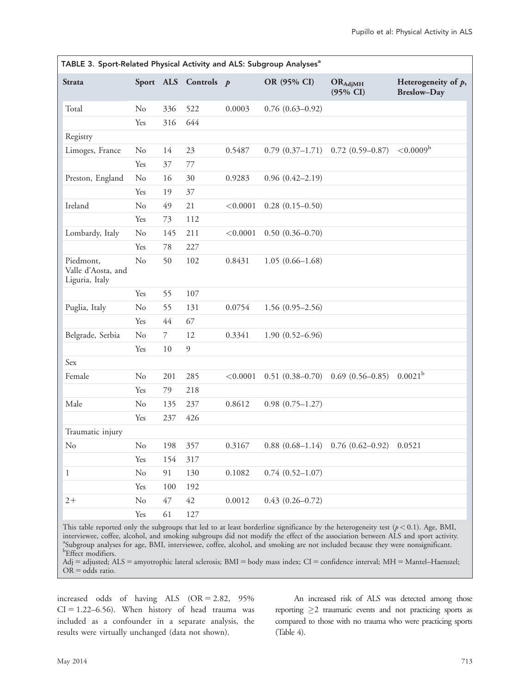| TABLE 3. Sport-Related Physical Activity and ALS: Subgroup Analyses <sup>a</sup> |                |                |                      |          |                        |                                                    |                                              |
|----------------------------------------------------------------------------------|----------------|----------------|----------------------|----------|------------------------|----------------------------------------------------|----------------------------------------------|
| <b>Strata</b>                                                                    |                |                | Sport ALS Controls p |          | OR (95% CI)            | $OR_{AdjMH}$<br>$(95\% \text{ CI})$                | Heterogeneity of $p$ ,<br><b>Breslow-Day</b> |
| Total                                                                            | N <sub>o</sub> | 336            | 522                  | 0.0003   | $0.76$ $(0.63 - 0.92)$ |                                                    |                                              |
|                                                                                  | Yes            | 316            | 644                  |          |                        |                                                    |                                              |
| Registry                                                                         |                |                |                      |          |                        |                                                    |                                              |
| Limoges, France                                                                  | No             | 14             | 23                   | 0.5487   | $0.79(0.37-1.71)$      | $0.72(0.59 - 0.87)$                                | ${<}0.0009$ <sup>b</sup>                     |
|                                                                                  | Yes            | 37             | 77                   |          |                        |                                                    |                                              |
| Preston, England                                                                 | No             | 16             | 30                   | 0.9283   | $0.96(0.42 - 2.19)$    |                                                    |                                              |
|                                                                                  | Yes            | 19             | 37                   |          |                        |                                                    |                                              |
| Ireland                                                                          | No             | 49             | 21                   | < 0.0001 | $0.28$ $(0.15-0.50)$   |                                                    |                                              |
|                                                                                  | Yes            | 73             | 112                  |          |                        |                                                    |                                              |
| Lombardy, Italy                                                                  | No             | 145            | 211                  | < 0.0001 | $0.50$ $(0.36 - 0.70)$ |                                                    |                                              |
|                                                                                  | Yes            | $78\,$         | 227                  |          |                        |                                                    |                                              |
| Piedmont,<br>Valle d'Aosta, and<br>Liguria, Italy                                | No             | 50             | 102                  | 0.8431   | $1.05(0.66 - 1.68)$    |                                                    |                                              |
|                                                                                  | Yes            | 55             | 107                  |          |                        |                                                    |                                              |
| Puglia, Italy                                                                    | No             | 55             | 131                  | 0.0754   | $1.56(0.95-2.56)$      |                                                    |                                              |
|                                                                                  | Yes            | 44             | 67                   |          |                        |                                                    |                                              |
| Belgrade, Serbia                                                                 | No             | $\overline{7}$ | 12                   | 0.3341   | $1.90(0.52 - 6.96)$    |                                                    |                                              |
|                                                                                  | Yes            | 10             | $\mathfrak{g}$       |          |                        |                                                    |                                              |
| Sex                                                                              |                |                |                      |          |                        |                                                    |                                              |
| Female                                                                           | No             | 201            | 285                  | < 0.0001 | $0.51(0.38 - 0.70)$    | $0.69(0.56 - 0.85)$                                | $0.0021^{b}$                                 |
|                                                                                  | Yes            | 79             | 218                  |          |                        |                                                    |                                              |
| Male                                                                             | No             | 135            | 237                  | 0.8612   | $0.98(0.75 - 1.27)$    |                                                    |                                              |
|                                                                                  | Yes            | 237            | 426                  |          |                        |                                                    |                                              |
| Traumatic injury                                                                 |                |                |                      |          |                        |                                                    |                                              |
| No                                                                               | $\rm No$       | 198            | 357                  | 0.3167   |                        | $0.88$ $(0.68-1.14)$ $0.76$ $(0.62-0.92)$ $0.0521$ |                                              |
|                                                                                  | Yes            | 154            | 317                  |          |                        |                                                    |                                              |
| $\mathbf{1}$                                                                     | No             | 91             | 130                  | 0.1082   | $0.74(0.52 - 1.07)$    |                                                    |                                              |
|                                                                                  | Yes            | $100\,$        | 192                  |          |                        |                                                    |                                              |
| $2+$                                                                             | No             | 47             | 42                   | 0.0012   | $0.43(0.26 - 0.72)$    |                                                    |                                              |
|                                                                                  | Yes            | 61             | 127                  |          |                        |                                                    |                                              |

This table reported only the subgroups that led to at least borderline significance by the heterogeneity test  $(p < 0.1)$ . Age, BMI, interviewee, coffee, alcohol, and smoking subgroups did not modify the effect of the association between ALS and sport activity. <sup>a</sup>Subgroup analyses for age, BMI, interviewee, coffee, alcohol, and smoking are not included because they were nonsignificant. **b**Effect modifiers.

Adj = adjusted; ALS = amyotrophic lateral sclerosis; BMI = body mass index; CI = confidence interval; MH = Mantel–Haenszel;  $OR = odds$  ratio.

increased odds of having ALS  $(OR = 2.82, 95\%)$  $CI = 1.22–6.56$ . When history of head trauma was included as a confounder in a separate analysis, the results were virtually unchanged (data not shown).

An increased risk of ALS was detected among those reporting  $\geq$  traumatic events and not practicing sports as compared to those with no trauma who were practicing sports (Table 4).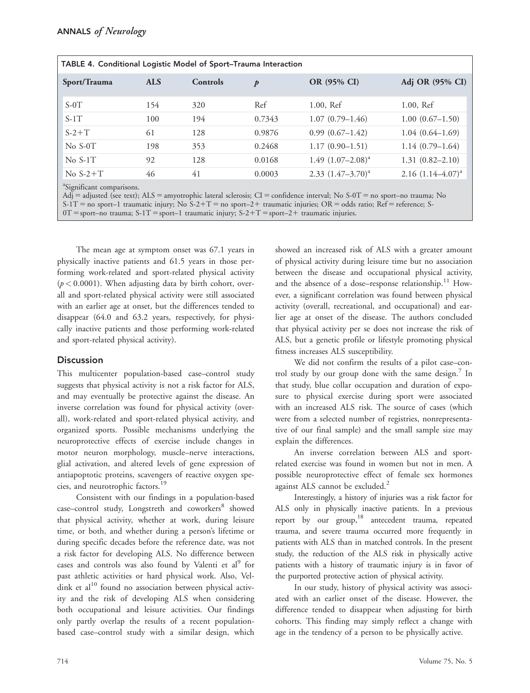| <b>TABLE 4. Conditional Logistic Model of Sport-Trauma Interaction</b> |            |          |                  |                        |                          |  |  |
|------------------------------------------------------------------------|------------|----------|------------------|------------------------|--------------------------|--|--|
| Sport/Trauma                                                           | <b>ALS</b> | Controls | $\boldsymbol{p}$ | <b>OR</b> (95% CI)     | Adj OR (95% CI)          |  |  |
| $S-0T$                                                                 | 154        | 320      | Ref              | $1.00$ , Ref           | $1.00$ , Ref             |  |  |
| $S-1T$                                                                 | 100        | 194      | 0.7343           | $1.07(0.79 - 1.46)$    | $1.00(0.67-1.50)$        |  |  |
| $S-2+T$                                                                | 61         | 128      | 0.9876           | $0.99(0.67-1.42)$      | $1.04(0.64-1.69)$        |  |  |
| $No S-0T$                                                              | 198        | 353      | 0.2468           | $1.17(0.90-1.51)$      | $1.14(0.79-1.64)$        |  |  |
| $No S-1T$                                                              | 92         | 128      | 0.0168           | $1.49$ $(1.07-2.08)^a$ | $1.31(0.82 - 2.10)$      |  |  |
| No $S-2+T$                                                             | 46         | 41       | 0.0003           | $2.33 (1.47 - 3.70)^a$ | 2.16 $(1.14 - 4.07)^{a}$ |  |  |

a Significant comparisons.

 $Adj = adjusted$  (see text);  $ALS =$  amyotrophic lateral sclerosis; CI = confidence interval; No S-0T = no sport–no trauma; No  $S-1T =$  no sport–1 traumatic injury; No  $S-2+T =$  no sport–2+ traumatic injuries; OR = odds ratio; Ref = reference; S- $0T = sport$ –no trauma; S-1T = sport–1 traumatic injury; S-2+T = sport–2+ traumatic injuries.

The mean age at symptom onset was 67.1 years in physically inactive patients and 61.5 years in those performing work-related and sport-related physical activity  $(p < 0.0001)$ . When adjusting data by birth cohort, overall and sport-related physical activity were still associated with an earlier age at onset, but the differences tended to disappear (64.0 and 63.2 years, respectively, for physically inactive patients and those performing work-related and sport-related physical activity).

## **Discussion**

This multicenter population-based case–control study suggests that physical activity is not a risk factor for ALS, and may eventually be protective against the disease. An inverse correlation was found for physical activity (overall), work-related and sport-related physical activity, and organized sports. Possible mechanisms underlying the neuroprotective effects of exercise include changes in motor neuron morphology, muscle–nerve interactions, glial activation, and altered levels of gene expression of antiapoptotic proteins, scavengers of reactive oxygen species, and neurotrophic factors.19

Consistent with our findings in a population-based case-control study, Longstreth and coworkers<sup>8</sup> showed that physical activity, whether at work, during leisure time, or both, and whether during a person's lifetime or during specific decades before the reference date, was not a risk factor for developing ALS. No difference between cases and controls was also found by Valenti et al<sup>9</sup> for past athletic activities or hard physical work. Also, Veldink et al $^{10}$  found no association between physical activity and the risk of developing ALS when considering both occupational and leisure activities. Our findings only partly overlap the results of a recent populationbased case–control study with a similar design, which

showed an increased risk of ALS with a greater amount of physical activity during leisure time but no association between the disease and occupational physical activity, and the absence of a dose–response relationship. $11$  However, a significant correlation was found between physical activity (overall, recreational, and occupational) and earlier age at onset of the disease. The authors concluded that physical activity per se does not increase the risk of ALS, but a genetic profile or lifestyle promoting physical fitness increases ALS susceptibility.

We did not confirm the results of a pilot case–control study by our group done with the same design.<sup>7</sup> In that study, blue collar occupation and duration of exposure to physical exercise during sport were associated with an increased ALS risk. The source of cases (which were from a selected number of registries, nonrepresentative of our final sample) and the small sample size may explain the differences.

An inverse correlation between ALS and sportrelated exercise was found in women but not in men. A possible neuroprotective effect of female sex hormones against ALS cannot be excluded.<sup>2</sup>

Interestingly, a history of injuries was a risk factor for ALS only in physically inactive patients. In a previous report by our group,<sup>18</sup> antecedent trauma, repeated trauma, and severe trauma occurred more frequently in patients with ALS than in matched controls. In the present study, the reduction of the ALS risk in physically active patients with a history of traumatic injury is in favor of the purported protective action of physical activity.

In our study, history of physical activity was associated with an earlier onset of the disease. However, the difference tended to disappear when adjusting for birth cohorts. This finding may simply reflect a change with age in the tendency of a person to be physically active.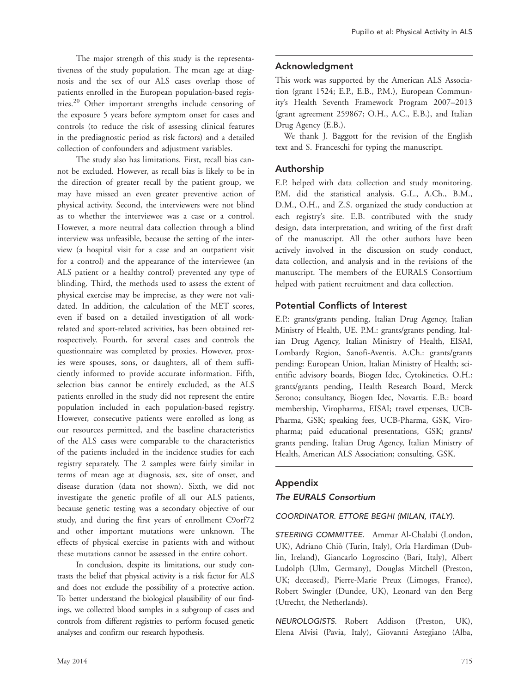The major strength of this study is the representativeness of the study population. The mean age at diagnosis and the sex of our ALS cases overlap those of patients enrolled in the European population-based registries.<sup>20</sup> Other important strengths include censoring of the exposure 5 years before symptom onset for cases and controls (to reduce the risk of assessing clinical features in the prediagnostic period as risk factors) and a detailed collection of confounders and adjustment variables.

The study also has limitations. First, recall bias cannot be excluded. However, as recall bias is likely to be in the direction of greater recall by the patient group, we may have missed an even greater preventive action of physical activity. Second, the interviewers were not blind as to whether the interviewee was a case or a control. However, a more neutral data collection through a blind interview was unfeasible, because the setting of the interview (a hospital visit for a case and an outpatient visit for a control) and the appearance of the interviewee (an ALS patient or a healthy control) prevented any type of blinding. Third, the methods used to assess the extent of physical exercise may be imprecise, as they were not validated. In addition, the calculation of the MET scores, even if based on a detailed investigation of all workrelated and sport-related activities, has been obtained retrospectively. Fourth, for several cases and controls the questionnaire was completed by proxies. However, proxies were spouses, sons, or daughters, all of them sufficiently informed to provide accurate information. Fifth, selection bias cannot be entirely excluded, as the ALS patients enrolled in the study did not represent the entire population included in each population-based registry. However, consecutive patients were enrolled as long as our resources permitted, and the baseline characteristics of the ALS cases were comparable to the characteristics of the patients included in the incidence studies for each registry separately. The 2 samples were fairly similar in terms of mean age at diagnosis, sex, site of onset, and disease duration (data not shown). Sixth, we did not investigate the genetic profile of all our ALS patients, because genetic testing was a secondary objective of our study, and during the first years of enrollment C9orf72 and other important mutations were unknown. The effects of physical exercise in patients with and without these mutations cannot be assessed in the entire cohort.

In conclusion, despite its limitations, our study contrasts the belief that physical activity is a risk factor for ALS and does not exclude the possibility of a protective action. To better understand the biological plausibility of our findings, we collected blood samples in a subgroup of cases and controls from different registries to perform focused genetic analyses and confirm our research hypothesis.

## Acknowledgment

This work was supported by the American ALS Association (grant 1524; E.P., E.B., P.M.), European Community's Health Seventh Framework Program 2007–2013 (grant agreement 259867; O.H., A.C., E.B.), and Italian Drug Agency (E.B.).

We thank J. Baggott for the revision of the English text and S. Franceschi for typing the manuscript.

#### Authorship

E.P. helped with data collection and study monitoring. P.M. did the statistical analysis. G.L., A.Ch., B.M., D.M., O.H., and Z.S. organized the study conduction at each registry's site. E.B. contributed with the study design, data interpretation, and writing of the first draft of the manuscript. All the other authors have been actively involved in the discussion on study conduct, data collection, and analysis and in the revisions of the manuscript. The members of the EURALS Consortium helped with patient recruitment and data collection.

## Potential Conflicts of Interest

E.P.: grants/grants pending, Italian Drug Agency, Italian Ministry of Health, UE. P.M.: grants/grants pending, Italian Drug Agency, Italian Ministry of Health, EISAI, Lombardy Region, Sanofi-Aventis. A.Ch.: grants/grants pending: European Union, Italian Ministry of Health; scientific advisory boards, Biogen Idec, Cytokinetics. O.H.: grants/grants pending, Health Research Board, Merck Serono; consultancy, Biogen Idec, Novartis. E.B.: board membership, Viropharma, EISAI; travel expenses, UCB-Pharma, GSK; speaking fees, UCB-Pharma, GSK, Viropharma; paid educational presentations, GSK; grants/ grants pending, Italian Drug Agency, Italian Ministry of Health, American ALS Association; consulting, GSK.

## Appendix The EURALS Consortium

#### COORDINATOR. ETTORE BEGHI (MILAN, ITALY).

STEERING COMMITTEE. Ammar Al-Chalabi (London, UK), Adriano Chiò (Turin, Italy), Orla Hardiman (Dublin, Ireland), Giancarlo Logroscino (Bari, Italy), Albert Ludolph (Ulm, Germany), Douglas Mitchell (Preston, UK; deceased), Pierre-Marie Preux (Limoges, France), Robert Swingler (Dundee, UK), Leonard van den Berg (Utrecht, the Netherlands).

NEUROLOGISTS. Robert Addison (Preston, UK), Elena Alvisi (Pavia, Italy), Giovanni Astegiano (Alba,